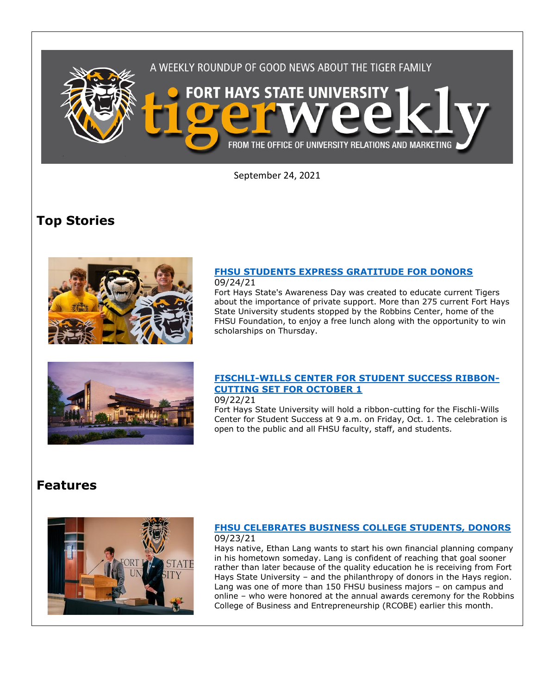

September 24, 2021

# **Top Stories**



#### **[FHSU STUDENTS EXPRESS GRATITUDE FOR DONORS](https://www.fhsu.edu/news/2021/09/fhsu-students-express-gratitude-for-donors)** 09/24/21

Fort Hays State's Awareness Day was created to educate current Tigers about the importance of private support. More than 275 current Fort Hays State University students stopped by the Robbins Center, home of the FHSU Foundation, to enjoy a free lunch along with the opportunity to win scholarships on Thursday.



## **[FISCHLI-WILLS CENTER FOR STUDENT SUCCESS RIBBON-](https://www.fhsu.edu/news/2021/09/fischli-wills-center-for-student-success-ribbon-cutting-set-for-october-1)[CUTTING SET FOR OCTOBER 1](https://www.fhsu.edu/news/2021/09/fischli-wills-center-for-student-success-ribbon-cutting-set-for-october-1)**

09/22/21

Fort Hays State University will hold a ribbon-cutting for the Fischli-Wills Center for Student Success at 9 a.m. on Friday, Oct. 1. The celebration is open to the public and all FHSU faculty, staff, and students.

## **Features**



### **[FHSU CELEBRATES BUSINESS COLLEGE STUDENTS, DONORS](https://www.fhsu.edu/news/2021/09/fhsu-celebrates-business-college-students,-donors)** 09/23/21

Hays native, Ethan Lang wants to start his own financial planning company in his hometown someday. Lang is confident of reaching that goal sooner rather than later because of the quality education he is receiving from Fort Hays State University – and the philanthropy of donors in the Hays region. Lang was one of more than 150 FHSU business majors – on campus and online – who were honored at the annual awards ceremony for the Robbins College of Business and Entrepreneurship (RCOBE) earlier this month.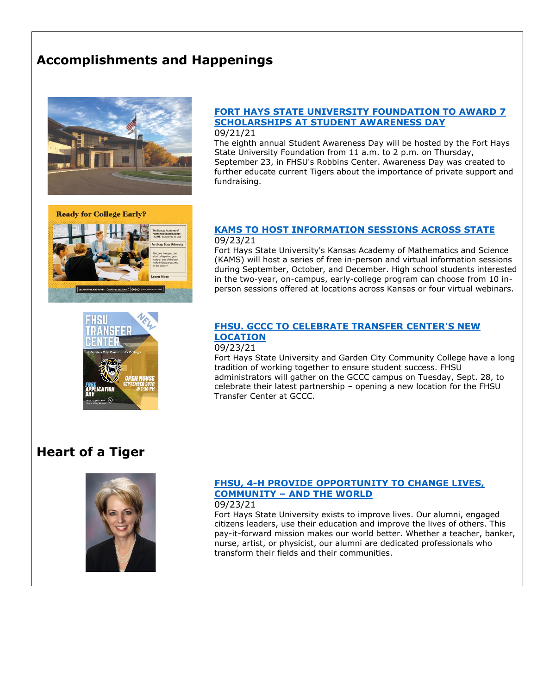# **Accomplishments and Happenings**



**Ready for College Early?** 

### **[FORT HAYS STATE UNIVERSITY FOUNDATION TO AWARD 7](https://www.fhsu.edu/news/2021/09/fort-hays-state-university-foundation-to-award-7-scholarships-at-student-awareness-day)  [SCHOLARSHIPS AT STUDENT AWARENESS DAY](https://www.fhsu.edu/news/2021/09/fort-hays-state-university-foundation-to-award-7-scholarships-at-student-awareness-day)** 09/21/21

The eighth annual Student Awareness Day will be hosted by the Fort Hays State University Foundation from 11 a.m. to 2 p.m. on Thursday, September 23, in FHSU's Robbins Center. Awareness Day was created to further educate current Tigers about the importance of private support and fundraising.

### **[KAMS TO HOST INFORMATION SESSIONS ACROSS STATE](https://www.fhsu.edu/news/2021/09/kams-to-host-information-sessions-across-state)** 09/23/21

Fort Hays State University's Kansas Academy of Mathematics and Science (KAMS) will host a series of free in-person and virtual information sessions during September, October, and December. High school students interested in the two-year, on-campus, early-college program can choose from 10 inperson sessions offered at locations across Kansas or four virtual webinars.



## **[FHSU. GCCC TO CELEBRATE TRANSFER CENTER'S](https://www.fhsu.edu/news/2021/09/fhsu,-gccc-to-celebrate-transfer-centers-new-location) NEW [LOCATION](https://www.fhsu.edu/news/2021/09/fhsu,-gccc-to-celebrate-transfer-centers-new-location)**

### 09/23/21

Fort Hays State University and Garden City Community College have a long tradition of working together to ensure student success. FHSU administrators will gather on the GCCC campus on Tuesday, Sept. 28, to celebrate their latest partnership – opening a new location for the FHSU Transfer Center at GCCC.

# **Heart of a Tiger**



## **[FHSU, 4-H PROVIDE OPPORTUNITY TO CHANGE LIVES,](http://tigermedianet.com/?p=61029)  COMMUNITY – [AND THE WORLD](http://tigermedianet.com/?p=61029)**

### 09/23/21

Fort Hays State University exists to improve lives. Our alumni, engaged citizens leaders, use their education and improve the lives of others. This pay-it-forward mission makes our world better. Whether a teacher, banker, nurse, artist, or physicist, our alumni are dedicated professionals who transform their fields and their communities.